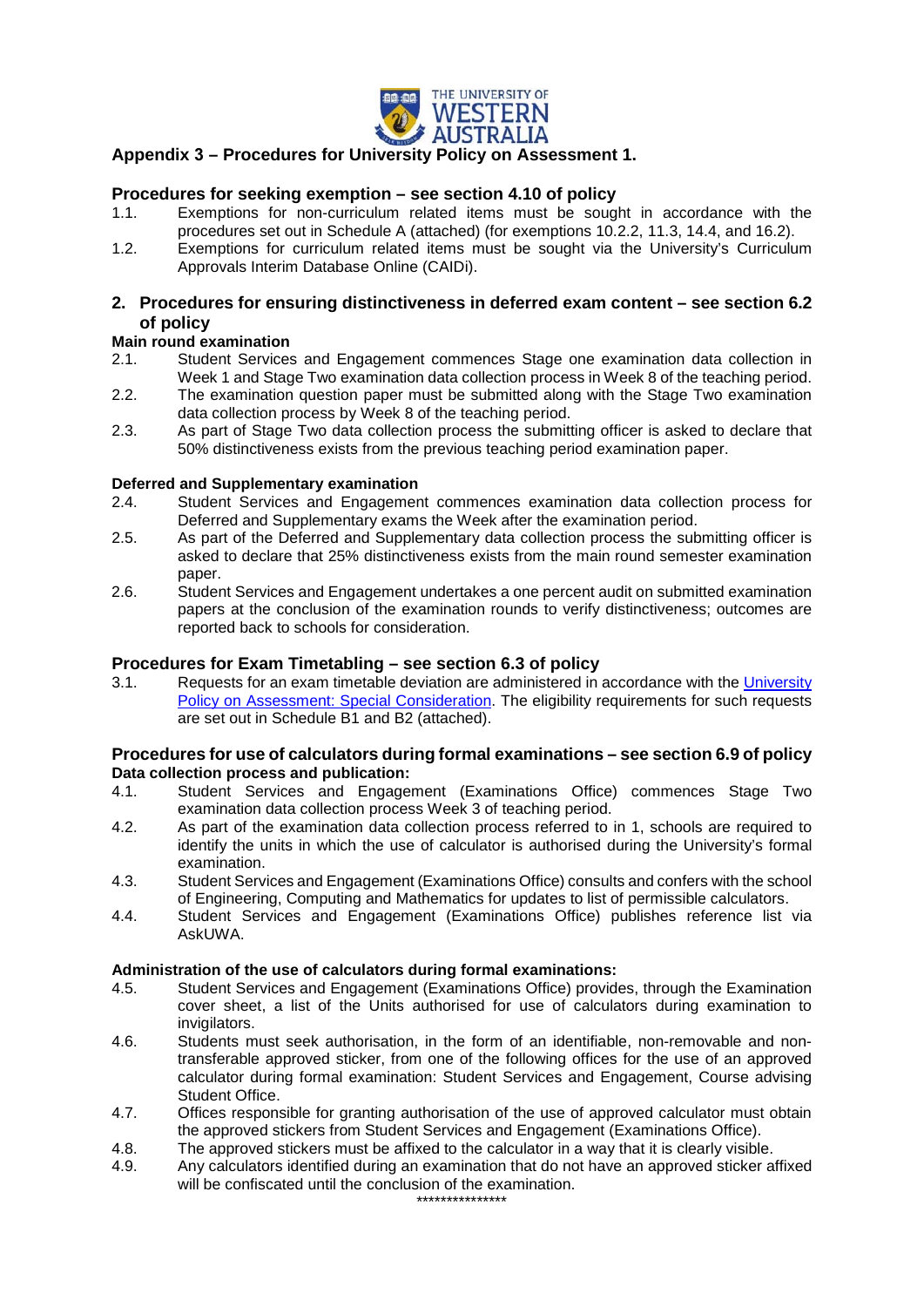

# **Appendix 3 – Procedures for University Policy on Assessment 1.**

## **Procedures for seeking exemption – see section 4.10 of policy**

- 1.1. Exemptions for non-curriculum related items must be sought in accordance with the procedures set out in Schedule A (attached) (for exemptions 10.2.2, 11.3, 14.4, and 16.2).
- 1.2. Exemptions for curriculum related items must be sought via the University's Curriculum Approvals Interim Database Online (CAIDi).

## **2. Procedures for ensuring distinctiveness in deferred exam content – see section 6.2 of policy**

#### **Main round examination**

- 2.1. Student Services and Engagement commences Stage one examination data collection in Week 1 and Stage Two examination data collection process in Week 8 of the teaching period.
- 2.2. The examination question paper must be submitted along with the Stage Two examination data collection process by Week 8 of the teaching period.
- 2.3. As part of Stage Two data collection process the submitting officer is asked to declare that 50% distinctiveness exists from the previous teaching period examination paper.

# **Deferred and Supplementary examination**<br>2.4. Student Services and Engagement

- Student Services and Engagement commences examination data collection process for Deferred and Supplementary exams the Week after the examination period.
- 2.5. As part of the Deferred and Supplementary data collection process the submitting officer is asked to declare that 25% distinctiveness exists from the main round semester examination paper.
- 2.6. Student Services and Engagement undertakes a one percent audit on submitted examination papers at the conclusion of the examination rounds to verify distinctiveness; outcomes are reported back to schools for consideration.

## **Procedures for Exam Timetabling – see section 6.3 of policy**

3.1. Requests for an exam timetable deviation are administered in accordance with the [University](http://www.governance.uwa.edu.au/procedures/policies/policies-and-procedures?policy=UP11%2F23)  [Policy on Assessment: Special Consideration.](http://www.governance.uwa.edu.au/procedures/policies/policies-and-procedures?policy=UP11%2F23) The eligibility requirements for such requests are set out in Schedule B1 and B2 (attached).

#### **Procedures for use of calculators during formal examinations – see section 6.9 of policy Data collection process and publication:**

- 4.1. Student Services and Engagement (Examinations Office) commences Stage Two examination data collection process Week 3 of teaching period.
- 4.2. As part of the examination data collection process referred to in 1, schools are required to identify the units in which the use of calculator is authorised during the University's formal examination.
- 4.3. Student Services and Engagement (Examinations Office) consults and confers with the school of Engineering, Computing and Mathematics for updates to list of permissible calculators.
- 4.4. Student Services and Engagement (Examinations Office) publishes reference list via AskUWA.

#### **Administration of the use of calculators during formal examinations:**

- 4.5. Student Services and Engagement (Examinations Office) provides, through the Examination cover sheet, a list of the Units authorised for use of calculators during examination to invigilators.
- 4.6. Students must seek authorisation, in the form of an identifiable, non-removable and nontransferable approved sticker, from one of the following offices for the use of an approved calculator during formal examination: Student Services and Engagement, Course advising Student Office.
- 4.7. Offices responsible for granting authorisation of the use of approved calculator must obtain the approved stickers from Student Services and Engagement (Examinations Office).
- 4.8. The approved stickers must be affixed to the calculator in a way that it is clearly visible.
- 4.9. Any calculators identified during an examination that do not have an approved sticker affixed will be confiscated until the conclusion of the examination.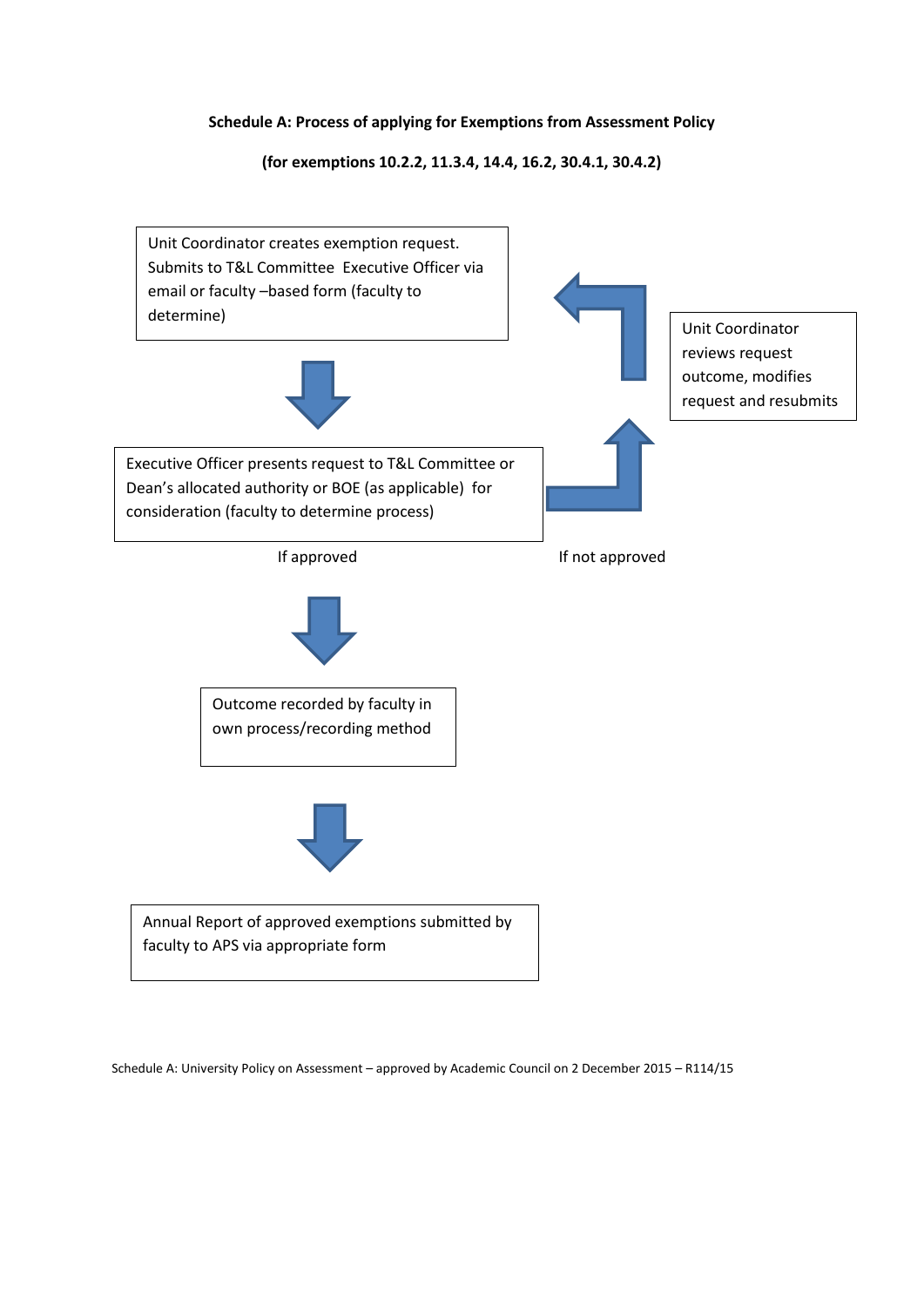## **Schedule A: Process of applying for Exemptions from Assessment Policy**

**(for exemptions 10.2.2, 11.3.4, 14.4, 16.2, 30.4.1, 30.4.2)**



Schedule A: University Policy on Assessment – approved by Academic Council on 2 December 2015 – R114/15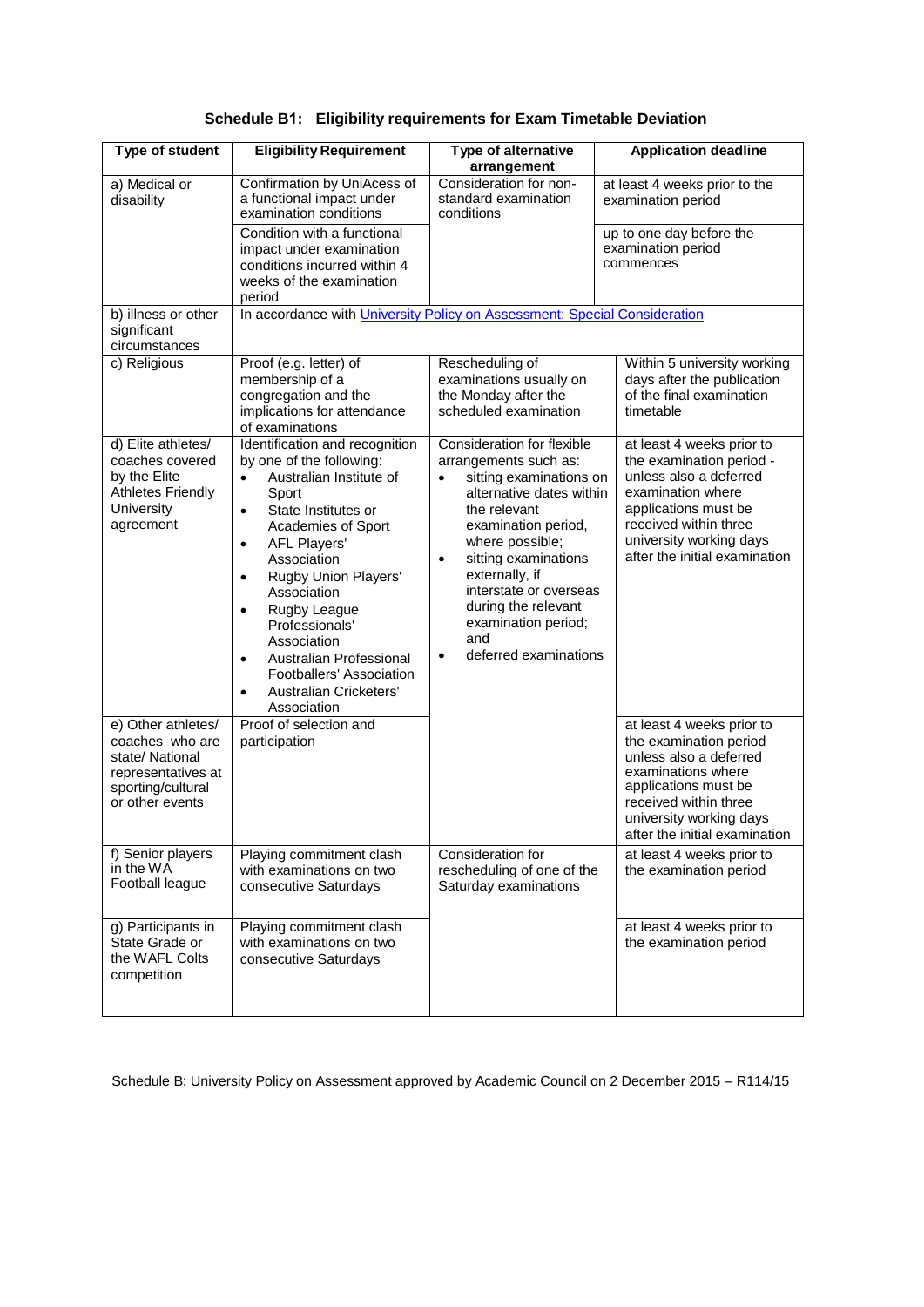| Type of student                                                                                                                                                          | <b>Eligibility Requirement</b>                                                                                                                                                                                                                                                                                                                                                                                                                                                                                  | Type of alternative<br>arrangement                                                                                                                                                                                                                                                                                                               | <b>Application deadline</b>                                                                                                                                                                                                                                                                        |  |
|--------------------------------------------------------------------------------------------------------------------------------------------------------------------------|-----------------------------------------------------------------------------------------------------------------------------------------------------------------------------------------------------------------------------------------------------------------------------------------------------------------------------------------------------------------------------------------------------------------------------------------------------------------------------------------------------------------|--------------------------------------------------------------------------------------------------------------------------------------------------------------------------------------------------------------------------------------------------------------------------------------------------------------------------------------------------|----------------------------------------------------------------------------------------------------------------------------------------------------------------------------------------------------------------------------------------------------------------------------------------------------|--|
| a) Medical or<br>disability                                                                                                                                              | Confirmation by UniAcess of<br>a functional impact under<br>examination conditions                                                                                                                                                                                                                                                                                                                                                                                                                              | Consideration for non-<br>standard examination<br>conditions                                                                                                                                                                                                                                                                                     | at least 4 weeks prior to the<br>examination period                                                                                                                                                                                                                                                |  |
|                                                                                                                                                                          | Condition with a functional<br>impact under examination<br>conditions incurred within 4<br>weeks of the examination<br>period                                                                                                                                                                                                                                                                                                                                                                                   |                                                                                                                                                                                                                                                                                                                                                  | up to one day before the<br>examination period<br>commences                                                                                                                                                                                                                                        |  |
| b) illness or other<br>significant<br>circumstances                                                                                                                      | In accordance with <i>University Policy on Assessment: Special Consideration</i>                                                                                                                                                                                                                                                                                                                                                                                                                                |                                                                                                                                                                                                                                                                                                                                                  |                                                                                                                                                                                                                                                                                                    |  |
| c) Religious                                                                                                                                                             | Proof (e.g. letter) of<br>membership of a<br>congregation and the<br>implications for attendance<br>of examinations                                                                                                                                                                                                                                                                                                                                                                                             | Rescheduling of<br>examinations usually on<br>the Monday after the<br>scheduled examination                                                                                                                                                                                                                                                      | Within 5 university working<br>days after the publication<br>of the final examination<br>timetable                                                                                                                                                                                                 |  |
| d) Elite athletes/<br>coaches covered<br>by the Elite<br><b>Athletes Friendly</b><br>University<br>agreement<br>e) Other athletes/<br>coaches who are<br>state/ National | Identification and recognition<br>by one of the following:<br>Australian Institute of<br>$\bullet$<br>Sport<br>State Institutes or<br>$\bullet$<br>Academies of Sport<br><b>AFL Players'</b><br>$\bullet$<br>Association<br>Rugby Union Players'<br>$\bullet$<br>Association<br>Rugby League<br>$\bullet$<br>Professionals'<br>Association<br>Australian Professional<br>$\bullet$<br>Footballers' Association<br>Australian Cricketers'<br>$\bullet$<br>Association<br>Proof of selection and<br>participation | Consideration for flexible<br>arrangements such as:<br>sitting examinations on<br>alternative dates within<br>the relevant<br>examination period,<br>where possible;<br>sitting examinations<br>$\bullet$<br>externally, if<br>interstate or overseas<br>during the relevant<br>examination period;<br>and<br>deferred examinations<br>$\bullet$ | at least 4 weeks prior to<br>the examination period -<br>unless also a deferred<br>examination where<br>applications must be<br>received within three<br>university working days<br>after the initial examination<br>at least 4 weeks prior to<br>the examination period<br>unless also a deferred |  |
| representatives at<br>sporting/cultural<br>or other events                                                                                                               |                                                                                                                                                                                                                                                                                                                                                                                                                                                                                                                 |                                                                                                                                                                                                                                                                                                                                                  | examinations where<br>applications must be<br>received within three<br>university working days<br>after the initial examination                                                                                                                                                                    |  |
| f) Senior players<br>in the WA<br>Football league                                                                                                                        | Playing commitment clash<br>with examinations on two<br>consecutive Saturdays                                                                                                                                                                                                                                                                                                                                                                                                                                   | Consideration for<br>rescheduling of one of the<br>Saturday examinations                                                                                                                                                                                                                                                                         | at least 4 weeks prior to<br>the examination period                                                                                                                                                                                                                                                |  |
| g) Participants in<br>State Grade or<br>the WAFL Colts<br>competition                                                                                                    | Playing commitment clash<br>with examinations on two<br>consecutive Saturdays                                                                                                                                                                                                                                                                                                                                                                                                                                   |                                                                                                                                                                                                                                                                                                                                                  | at least 4 weeks prior to<br>the examination period                                                                                                                                                                                                                                                |  |

Schedule B: University Policy on Assessment approved by Academic Council on 2 December 2015 – R114/15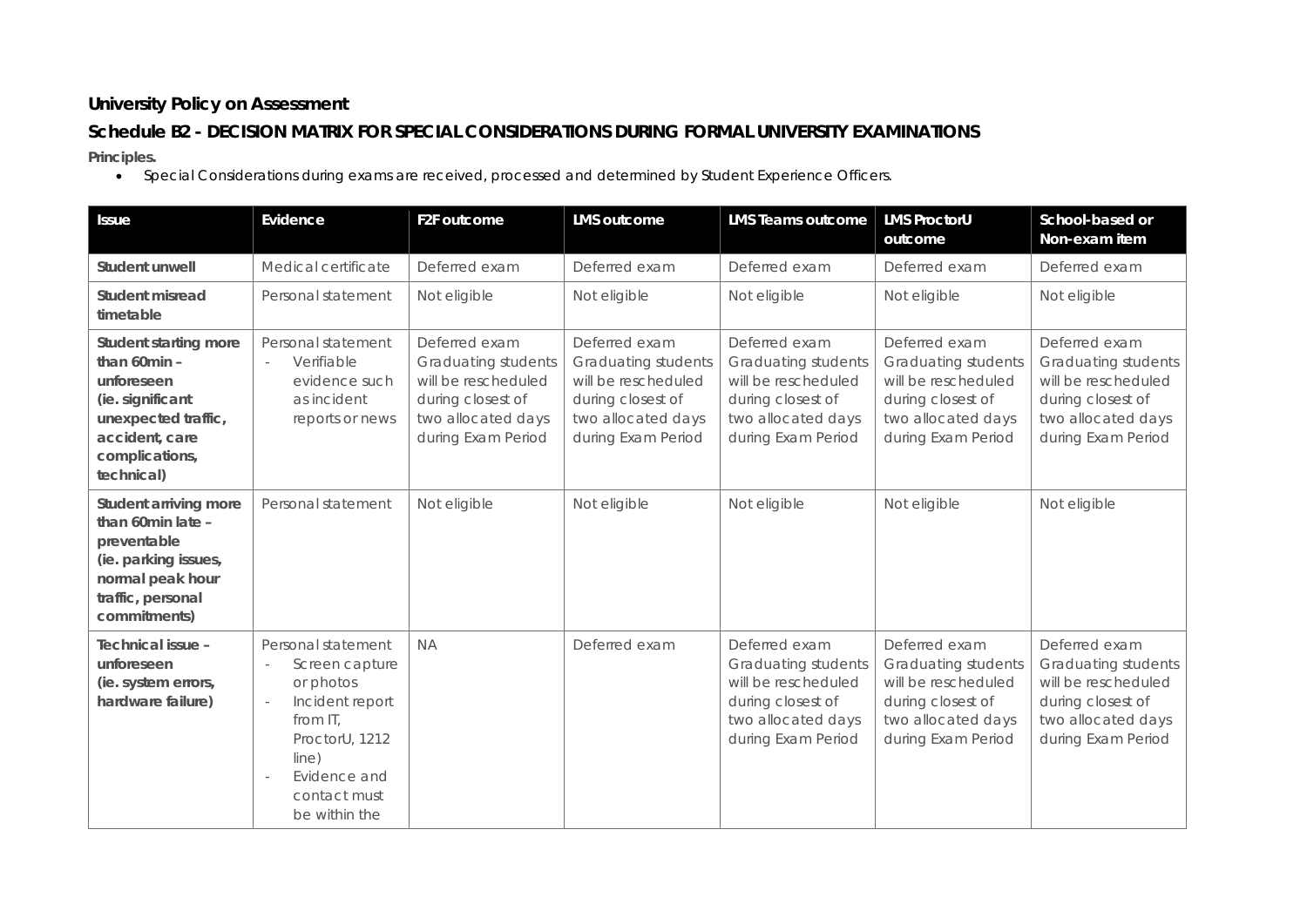# **University Policy on Assessment**

# **Schedule B2 - DECISION MATRIX FOR SPECIAL CONSIDERATIONS DURING FORMAL UNIVERSITY EXAMINATIONS**

**Principles.**

• Special Considerations during exams are received, processed and determined by Student Experience Officers.

| <b>Issue</b>                                                                                                                                     | Evidence                                                                                                                                                                                           | F2F outcome                                                                                                                         | <b>LMS</b> outcome                                                                                                           | <b>LMS Teams outcome</b>                                                                                                            | <b>LMS ProctorU</b><br>outcome                                                                                               | School-based or<br>Non-exam item                                                                                             |
|--------------------------------------------------------------------------------------------------------------------------------------------------|----------------------------------------------------------------------------------------------------------------------------------------------------------------------------------------------------|-------------------------------------------------------------------------------------------------------------------------------------|------------------------------------------------------------------------------------------------------------------------------|-------------------------------------------------------------------------------------------------------------------------------------|------------------------------------------------------------------------------------------------------------------------------|------------------------------------------------------------------------------------------------------------------------------|
| Student unwell                                                                                                                                   | Medical certificate                                                                                                                                                                                | Deferred exam                                                                                                                       | Deferred exam                                                                                                                | Deferred exam                                                                                                                       | Deferred exam                                                                                                                | Deferred exam                                                                                                                |
| Student misread<br>timetable                                                                                                                     | Personal statement                                                                                                                                                                                 | Not eligible                                                                                                                        | Not eligible                                                                                                                 | Not eligible                                                                                                                        | Not eligible                                                                                                                 | Not eligible                                                                                                                 |
| Student starting more<br>than 60min -<br>unforeseen<br>(ie. significant<br>unexpected traffic,<br>accident, care<br>complications,<br>technical) | Personal statement<br>Verifiable<br>$\overline{\phantom{a}}$<br>evidence such<br>as incident<br>reports or news                                                                                    | Deferred exam<br><b>Graduating students</b><br>will be rescheduled<br>during closest of<br>two allocated days<br>during Exam Period | Deferred exam<br>Graduating students<br>will be rescheduled<br>during closest of<br>two allocated days<br>during Exam Period | Deferred exam<br>Graduating students<br>will be rescheduled<br>during closest of<br>two allocated days<br>during Exam Period        | Deferred exam<br>Graduating students<br>will be rescheduled<br>during closest of<br>two allocated days<br>during Exam Period | Deferred exam<br>Graduating students<br>will be rescheduled<br>during closest of<br>two allocated days<br>during Exam Period |
| Student arriving more<br>than 60min late -<br>preventable<br>(ie. parking issues,<br>normal peak hour<br>traffic, personal<br>commitments)       | Personal statement                                                                                                                                                                                 | Not eligible                                                                                                                        | Not eligible                                                                                                                 | Not eligible                                                                                                                        | Not eligible                                                                                                                 | Not eligible                                                                                                                 |
| Technical issue -<br>unforeseen<br>(ie. system errors,<br>hardware failure)                                                                      | Personal statement<br>Screen capture<br>or photos<br>Incident report<br>$\sim$<br>from IT,<br>ProctorU, 1212<br>line)<br>Evidence and<br>$\overline{\phantom{a}}$<br>contact must<br>be within the | <b>NA</b>                                                                                                                           | Deferred exam                                                                                                                | Deferred exam<br><b>Graduating students</b><br>will be rescheduled<br>during closest of<br>two allocated days<br>during Exam Period | Deferred exam<br>Graduating students<br>will be rescheduled<br>during closest of<br>two allocated days<br>during Exam Period | Deferred exam<br>Graduating students<br>will be rescheduled<br>during closest of<br>two allocated days<br>during Exam Period |